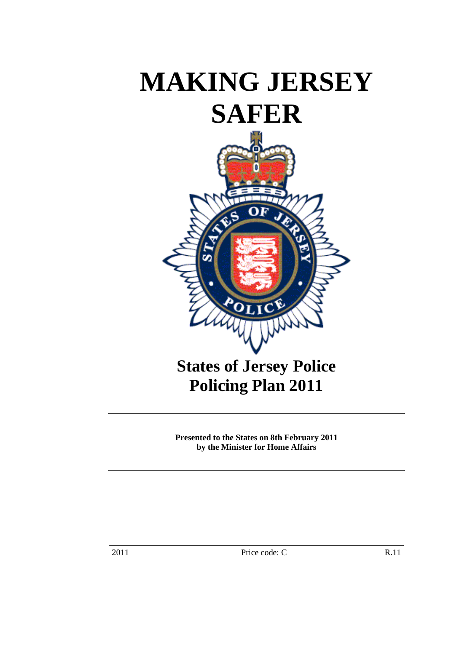# **MAKING JERSEY SAFER**



**Policing Plan 2011** 

**Presented to the States on 8th February 2011 by the Minister for Home Affairs**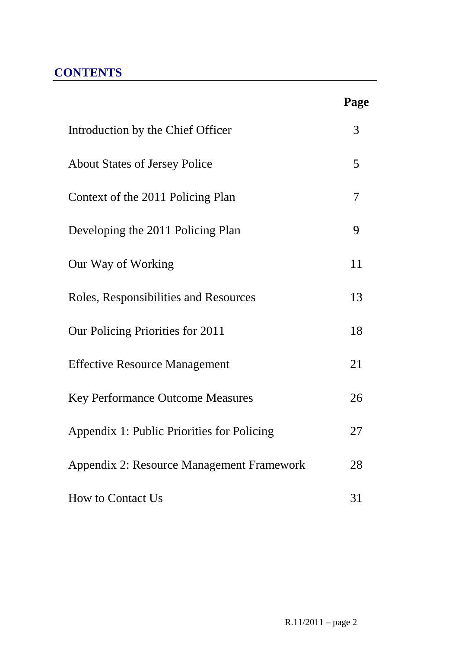# **CONTENTS**

|                                            | Page |
|--------------------------------------------|------|
| Introduction by the Chief Officer          | 3    |
| <b>About States of Jersey Police</b>       | 5    |
| Context of the 2011 Policing Plan          | 7    |
| Developing the 2011 Policing Plan          | 9    |
| Our Way of Working                         | 11   |
| Roles, Responsibilities and Resources      | 13   |
| Our Policing Priorities for 2011           | 18   |
| <b>Effective Resource Management</b>       | 21   |
| <b>Key Performance Outcome Measures</b>    | 26   |
| Appendix 1: Public Priorities for Policing | 27   |
| Appendix 2: Resource Management Framework  | 28   |
| <b>How to Contact Us</b>                   | 31   |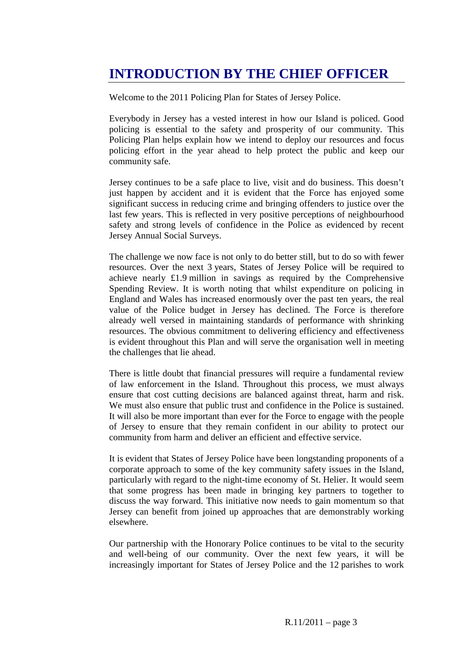# **INTRODUCTION BY THE CHIEF OFFICER**

Welcome to the 2011 Policing Plan for States of Jersey Police.

Everybody in Jersey has a vested interest in how our Island is policed. Good policing is essential to the safety and prosperity of our community. This Policing Plan helps explain how we intend to deploy our resources and focus policing effort in the year ahead to help protect the public and keep our community safe.

Jersey continues to be a safe place to live, visit and do business. This doesn't just happen by accident and it is evident that the Force has enjoyed some significant success in reducing crime and bringing offenders to justice over the last few years. This is reflected in very positive perceptions of neighbourhood safety and strong levels of confidence in the Police as evidenced by recent Jersey Annual Social Surveys.

The challenge we now face is not only to do better still, but to do so with fewer resources. Over the next 3 years, States of Jersey Police will be required to achieve nearly £1.9 million in savings as required by the Comprehensive Spending Review. It is worth noting that whilst expenditure on policing in England and Wales has increased enormously over the past ten years, the real value of the Police budget in Jersey has declined. The Force is therefore already well versed in maintaining standards of performance with shrinking resources. The obvious commitment to delivering efficiency and effectiveness is evident throughout this Plan and will serve the organisation well in meeting the challenges that lie ahead.

There is little doubt that financial pressures will require a fundamental review of law enforcement in the Island. Throughout this process, we must always ensure that cost cutting decisions are balanced against threat, harm and risk. We must also ensure that public trust and confidence in the Police is sustained. It will also be more important than ever for the Force to engage with the people of Jersey to ensure that they remain confident in our ability to protect our community from harm and deliver an efficient and effective service.

It is evident that States of Jersey Police have been longstanding proponents of a corporate approach to some of the key community safety issues in the Island, particularly with regard to the night-time economy of St. Helier. It would seem that some progress has been made in bringing key partners to together to discuss the way forward. This initiative now needs to gain momentum so that Jersey can benefit from joined up approaches that are demonstrably working elsewhere.

Our partnership with the Honorary Police continues to be vital to the security and well-being of our community. Over the next few years, it will be increasingly important for States of Jersey Police and the 12 parishes to work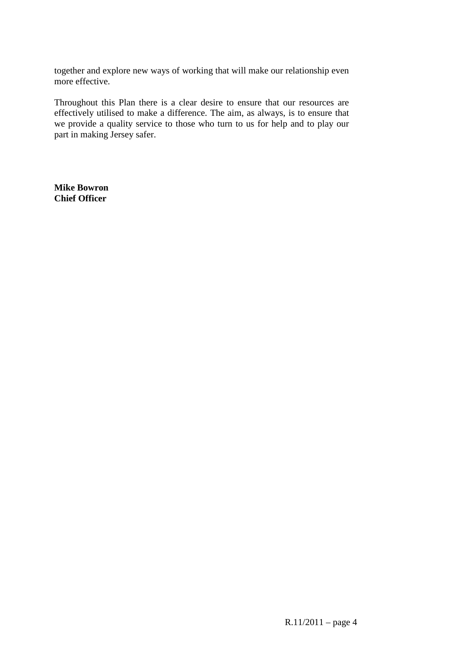together and explore new ways of working that will make our relationship even more effective.

Throughout this Plan there is a clear desire to ensure that our resources are effectively utilised to make a difference. The aim, as always, is to ensure that we provide a quality service to those who turn to us for help and to play our part in making Jersey safer.

**Mike Bowron Chief Officer**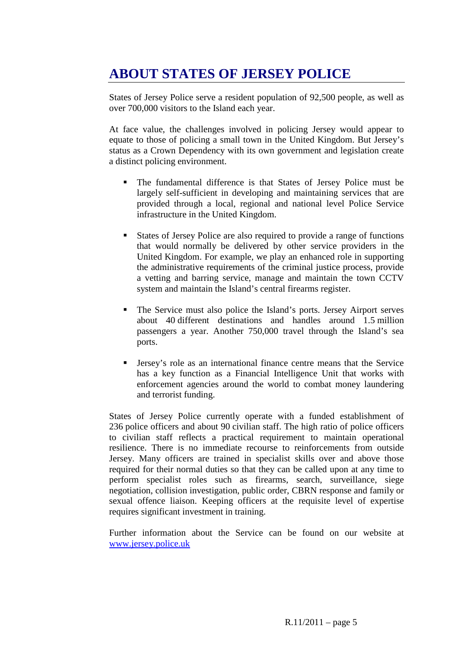# **ABOUT STATES OF JERSEY POLICE**

States of Jersey Police serve a resident population of 92,500 people, as well as over 700,000 visitors to the Island each year.

At face value, the challenges involved in policing Jersey would appear to equate to those of policing a small town in the United Kingdom. But Jersey's status as a Crown Dependency with its own government and legislation create a distinct policing environment.

- The fundamental difference is that States of Jersey Police must be largely self-sufficient in developing and maintaining services that are provided through a local, regional and national level Police Service infrastructure in the United Kingdom.
- States of Jersey Police are also required to provide a range of functions that would normally be delivered by other service providers in the United Kingdom. For example, we play an enhanced role in supporting the administrative requirements of the criminal justice process, provide a vetting and barring service, manage and maintain the town CCTV system and maintain the Island's central firearms register.
- The Service must also police the Island's ports. Jersey Airport serves about 40 different destinations and handles around 1.5 million passengers a year. Another 750,000 travel through the Island's sea ports.
- Jersey's role as an international finance centre means that the Service has a key function as a Financial Intelligence Unit that works with enforcement agencies around the world to combat money laundering and terrorist funding.

States of Jersey Police currently operate with a funded establishment of 236 police officers and about 90 civilian staff. The high ratio of police officers to civilian staff reflects a practical requirement to maintain operational resilience. There is no immediate recourse to reinforcements from outside Jersey. Many officers are trained in specialist skills over and above those required for their normal duties so that they can be called upon at any time to perform specialist roles such as firearms, search, surveillance, siege negotiation, collision investigation, public order, CBRN response and family or sexual offence liaison. Keeping officers at the requisite level of expertise requires significant investment in training.

Further information about the Service can be found on our website at www.jersey.police.uk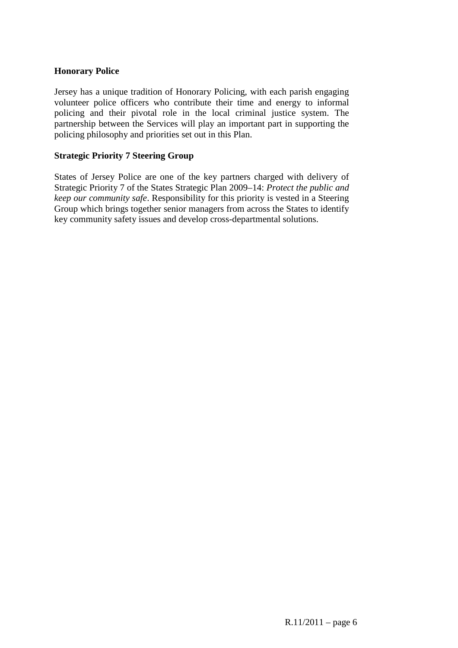#### **Honorary Police**

Jersey has a unique tradition of Honorary Policing, with each parish engaging volunteer police officers who contribute their time and energy to informal policing and their pivotal role in the local criminal justice system. The partnership between the Services will play an important part in supporting the policing philosophy and priorities set out in this Plan.

#### **Strategic Priority 7 Steering Group**

States of Jersey Police are one of the key partners charged with delivery of Strategic Priority 7 of the States Strategic Plan 2009–14: *Protect the public and keep our community safe*. Responsibility for this priority is vested in a Steering Group which brings together senior managers from across the States to identify key community safety issues and develop cross-departmental solutions.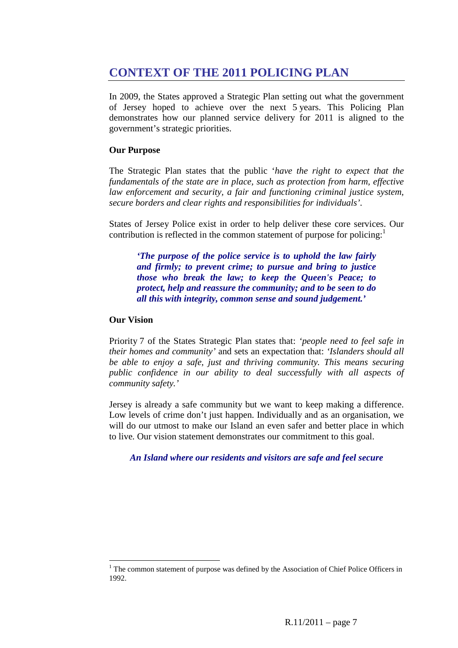# **CONTEXT OF THE 2011 POLICING PLAN**

In 2009, the States approved a Strategic Plan setting out what the government of Jersey hoped to achieve over the next 5 years. This Policing Plan demonstrates how our planned service delivery for 2011 is aligned to the government's strategic priorities.

#### **Our Purpose**

The Strategic Plan states that the public '*have the right to expect that the fundamentals of the state are in place, such as protection from harm, effective law enforcement and security, a fair and functioning criminal justice system, secure borders and clear rights and responsibilities for individuals'.*

States of Jersey Police exist in order to help deliver these core services. Our contribution is reflected in the common statement of purpose for policing: $<sup>1</sup>$ </sup>

*'The purpose of the police service is to uphold the law fairly and firmly; to prevent crime; to pursue and bring to justice those who break the law; to keep the Queen's Peace; to protect, help and reassure the community; and to be seen to do all this with integrity, common sense and sound judgement.'* 

#### **Our Vision**

 $\overline{a}$ 

Priority 7 of the States Strategic Plan states that: *'people need to feel safe in their homes and community'* and sets an expectation that: *'Islanders should all be able to enjoy a safe, just and thriving community. This means securing public confidence in our ability to deal successfully with all aspects of community safety.'*

Jersey is already a safe community but we want to keep making a difference. Low levels of crime don't just happen. Individually and as an organisation, we will do our utmost to make our Island an even safer and better place in which to live*.* Our vision statement demonstrates our commitment to this goal.

*An Island where our residents and visitors are safe and feel secure* 

 $1$  The common statement of purpose was defined by the Association of Chief Police Officers in 1992.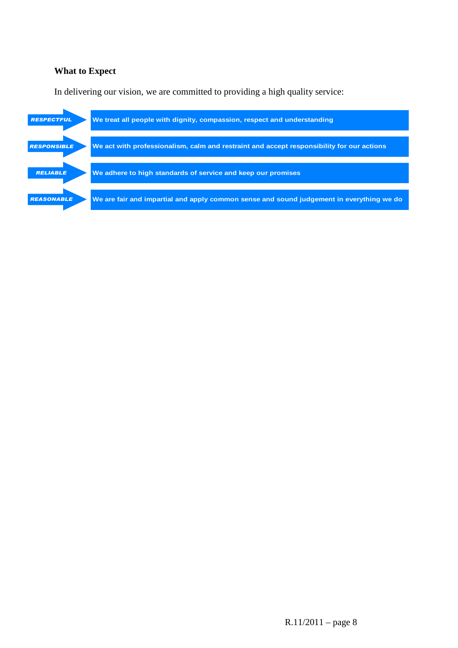#### **What to Expect**

In delivering our vision, we are committed to providing a high quality service:

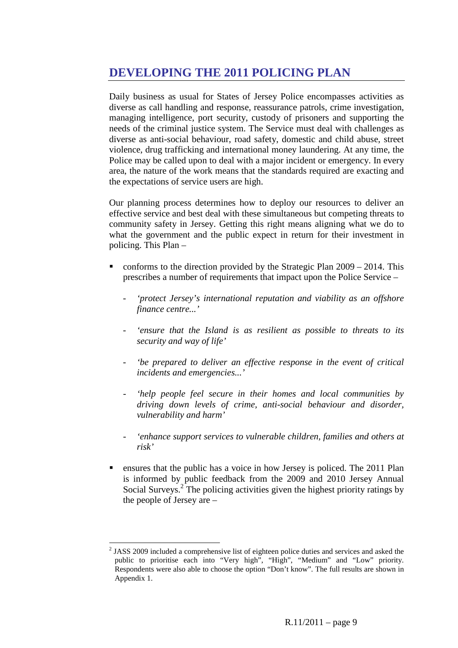### **DEVELOPING THE 2011 POLICING PLAN**

Daily business as usual for States of Jersey Police encompasses activities as diverse as call handling and response, reassurance patrols, crime investigation, managing intelligence, port security, custody of prisoners and supporting the needs of the criminal justice system. The Service must deal with challenges as diverse as anti-social behaviour, road safety, domestic and child abuse, street violence, drug trafficking and international money laundering. At any time, the Police may be called upon to deal with a major incident or emergency. In every area, the nature of the work means that the standards required are exacting and the expectations of service users are high.

Our planning process determines how to deploy our resources to deliver an effective service and best deal with these simultaneous but competing threats to community safety in Jersey. Getting this right means aligning what we do to what the government and the public expect in return for their investment in policing. This Plan –

- conforms to the direction provided by the Strategic Plan 2009 2014. This prescribes a number of requirements that impact upon the Police Service –
	- *'protect Jersey's international reputation and viability as an offshore finance centre...'*
	- *'ensure that the Island is as resilient as possible to threats to its security and way of life'*
	- *'be prepared to deliver an effective response in the event of critical incidents and emergencies...'*
	- *'help people feel secure in their homes and local communities by driving down levels of crime, anti-social behaviour and disorder, vulnerability and harm'*
	- *'enhance support services to vulnerable children, families and others at risk'*
- ensures that the public has a voice in how Jersey is policed. The 2011 Plan is informed by public feedback from the 2009 and 2010 Jersey Annual Social Surveys.<sup>2</sup> The policing activities given the highest priority ratings by the people of Jersey are –

<sup>&</sup>lt;sup>2</sup> JASS 2009 included a comprehensive list of eighteen police duties and services and asked the public to prioritise each into "Very high", "High", "Medium" and "Low" priority. Respondents were also able to choose the option "Don't know". The full results are shown in Appendix 1.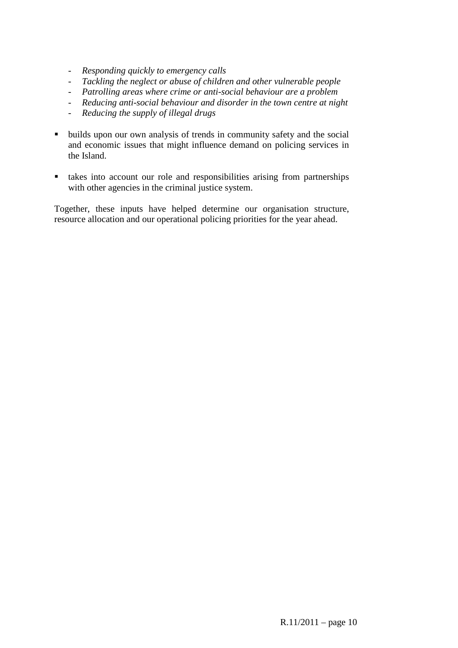- *Responding quickly to emergency calls*
- *Tackling the neglect or abuse of children and other vulnerable people*
- *Patrolling areas where crime or anti-social behaviour are a problem*
- *Reducing anti-social behaviour and disorder in the town centre at night*
- *Reducing the supply of illegal drugs*
- builds upon our own analysis of trends in community safety and the social and economic issues that might influence demand on policing services in the Island.
- takes into account our role and responsibilities arising from partnerships with other agencies in the criminal justice system.

Together, these inputs have helped determine our organisation structure, resource allocation and our operational policing priorities for the year ahead.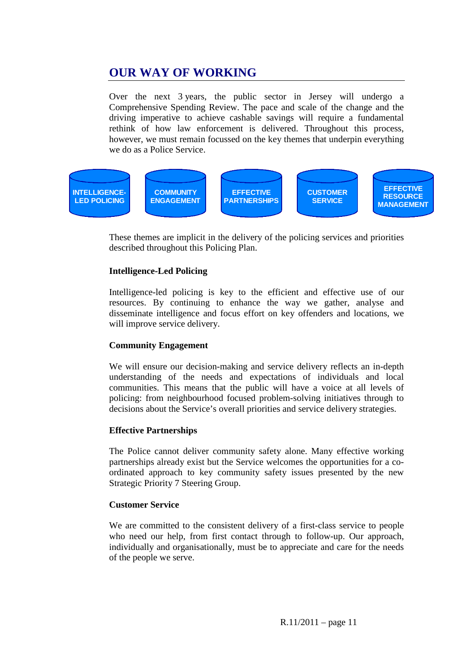# **OUR WAY OF WORKING**

Over the next 3 years, the public sector in Jersey will undergo a Comprehensive Spending Review. The pace and scale of the change and the driving imperative to achieve cashable savings will require a fundamental rethink of how law enforcement is delivered. Throughout this process, however, we must remain focussed on the key themes that underpin everything we do as a Police Service.



These themes are implicit in the delivery of the policing services and priorities described throughout this Policing Plan.

#### **Intelligence-Led Policing**

Intelligence-led policing is key to the efficient and effective use of our resources. By continuing to enhance the way we gather, analyse and disseminate intelligence and focus effort on key offenders and locations, we will improve service delivery.

#### **Community Engagement**

We will ensure our decision-making and service delivery reflects an in-depth understanding of the needs and expectations of individuals and local communities. This means that the public will have a voice at all levels of policing: from neighbourhood focused problem-solving initiatives through to decisions about the Service's overall priorities and service delivery strategies.

#### **Effective Partnerships**

The Police cannot deliver community safety alone. Many effective working partnerships already exist but the Service welcomes the opportunities for a coordinated approach to key community safety issues presented by the new Strategic Priority 7 Steering Group.

#### **Customer Service**

We are committed to the consistent delivery of a first-class service to people who need our help, from first contact through to follow-up. Our approach, individually and organisationally, must be to appreciate and care for the needs of the people we serve.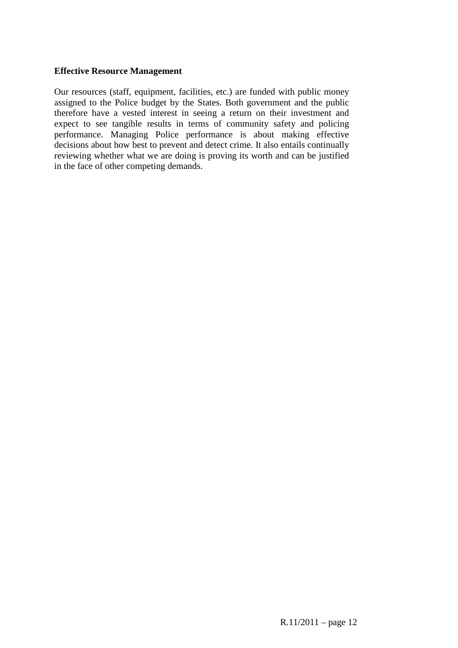#### **Effective Resource Management**

Our resources (staff, equipment, facilities, etc.) are funded with public money assigned to the Police budget by the States. Both government and the public therefore have a vested interest in seeing a return on their investment and expect to see tangible results in terms of community safety and policing performance. Managing Police performance is about making effective decisions about how best to prevent and detect crime. It also entails continually reviewing whether what we are doing is proving its worth and can be justified in the face of other competing demands.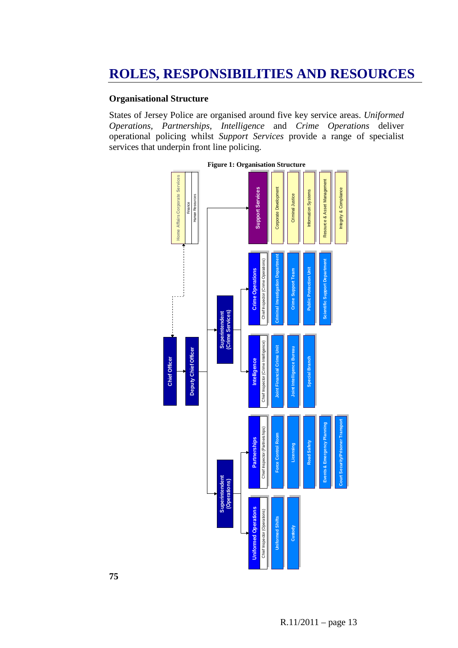#### **Organisational Structure**

States of Jersey Police are organised around five key service areas. *Uniformed Operations, Partnerships, Intelligence* and *Crime Operations* deliver operational policing whilst *Support Services* provide a range of specialist services that underpin front line policing.



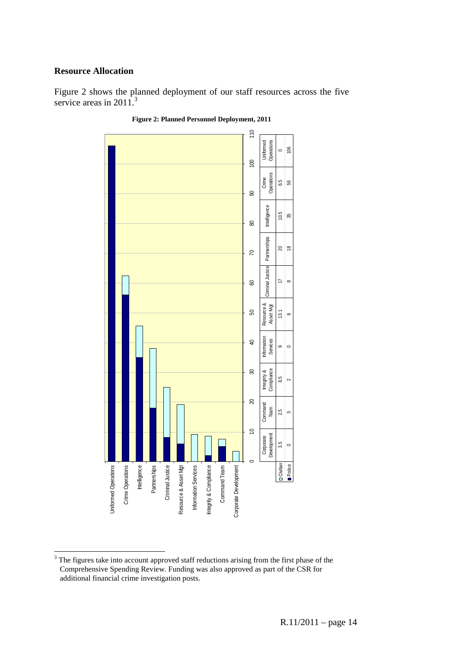#### **Resource Allocation**

Figure 2 shows the planned deployment of our staff resources across the five service areas in  $2011$ <sup>3</sup>





<sup>&</sup>lt;sup>3</sup> The figures take into account approved staff reductions arising from the first phase of the Comprehensive Spending Review. Funding was also approved as part of the CSR for additional financial crime investigation posts.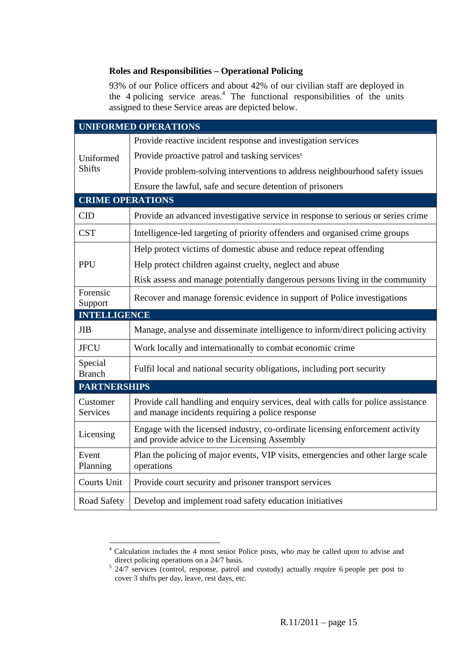#### **Roles and Responsibilities – Operational Policing**

93% of our Police officers and about 42% of our civilian staff are deployed in the  $4$  policing service areas. $4$  The functional responsibilities of the units assigned to these Service areas are depicted below.

|                             | <b>UNIFORMED OPERATIONS</b>                                                                                                           |  |  |  |  |
|-----------------------------|---------------------------------------------------------------------------------------------------------------------------------------|--|--|--|--|
|                             | Provide reactive incident response and investigation services                                                                         |  |  |  |  |
| Uniformed<br><b>Shifts</b>  | Provide proactive patrol and tasking services <sup>5</sup>                                                                            |  |  |  |  |
|                             | Provide problem-solving interventions to address neighbourhood safety issues                                                          |  |  |  |  |
|                             | Ensure the lawful, safe and secure detention of prisoners                                                                             |  |  |  |  |
| <b>CRIME OPERATIONS</b>     |                                                                                                                                       |  |  |  |  |
| CID                         | Provide an advanced investigative service in response to serious or series crime                                                      |  |  |  |  |
| <b>CST</b>                  | Intelligence-led targeting of priority offenders and organised crime groups                                                           |  |  |  |  |
|                             | Help protect victims of domestic abuse and reduce repeat offending                                                                    |  |  |  |  |
| PPU                         | Help protect children against cruelty, neglect and abuse                                                                              |  |  |  |  |
|                             | Risk assess and manage potentially dangerous persons living in the community                                                          |  |  |  |  |
| Forensic<br>Support         | Recover and manage forensic evidence in support of Police investigations                                                              |  |  |  |  |
| <b>INTELLIGENCE</b>         |                                                                                                                                       |  |  |  |  |
| <b>JIB</b>                  | Manage, analyse and disseminate intelligence to inform/direct policing activity                                                       |  |  |  |  |
| <b>JFCU</b>                 | Work locally and internationally to combat economic crime                                                                             |  |  |  |  |
| Special<br><b>Branch</b>    | Fulfil local and national security obligations, including port security                                                               |  |  |  |  |
| <b>PARTNERSHIPS</b>         |                                                                                                                                       |  |  |  |  |
| Customer<br><b>Services</b> | Provide call handling and enquiry services, deal with calls for police assistance<br>and manage incidents requiring a police response |  |  |  |  |
| Licensing                   | Engage with the licensed industry, co-ordinate licensing enforcement activity<br>and provide advice to the Licensing Assembly         |  |  |  |  |
| Event<br>Planning           | Plan the policing of major events, VIP visits, emergencies and other large scale<br>operations                                        |  |  |  |  |
| <b>Courts Unit</b>          | Provide court security and prisoner transport services                                                                                |  |  |  |  |
| Road Safety                 | Develop and implement road safety education initiatives                                                                               |  |  |  |  |

 4 Calculation includes the 4 most senior Police posts, who may be called upon to advise and direct policing operations on a 24/7 basis.

<sup>&</sup>lt;sup>5</sup> 24/7 services (control, response, patrol and custody) actually require 6 people per post to cover 3 shifts per day, leave, rest days, etc.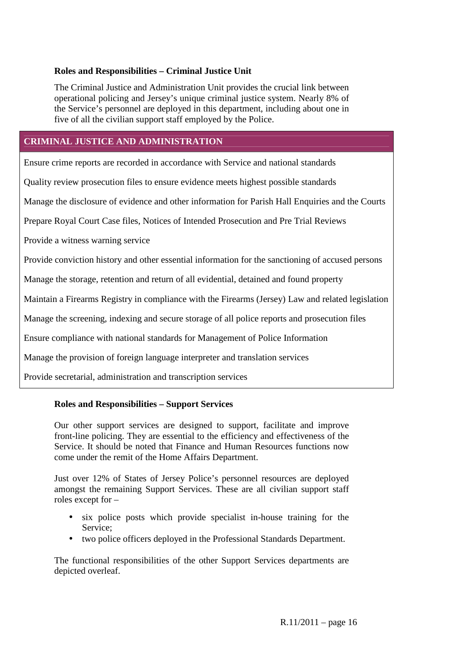#### **Roles and Responsibilities – Criminal Justice Unit**

The Criminal Justice and Administration Unit provides the crucial link between operational policing and Jersey's unique criminal justice system. Nearly 8% of the Service's personnel are deployed in this department, including about one in five of all the civilian support staff employed by the Police.

#### **CRIMINAL JUSTICE AND ADMINISTRATION**

Ensure crime reports are recorded in accordance with Service and national standards

Quality review prosecution files to ensure evidence meets highest possible standards

Manage the disclosure of evidence and other information for Parish Hall Enquiries and the Courts

Prepare Royal Court Case files, Notices of Intended Prosecution and Pre Trial Reviews

Provide a witness warning service

Provide conviction history and other essential information for the sanctioning of accused persons

Manage the storage, retention and return of all evidential, detained and found property

Maintain a Firearms Registry in compliance with the Firearms (Jersey) Law and related legislation

Manage the screening, indexing and secure storage of all police reports and prosecution files

Ensure compliance with national standards for Management of Police Information

Manage the provision of foreign language interpreter and translation services

Provide secretarial, administration and transcription services

#### **Roles and Responsibilities – Support Services**

Our other support services are designed to support, facilitate and improve front-line policing. They are essential to the efficiency and effectiveness of the Service. It should be noted that Finance and Human Resources functions now come under the remit of the Home Affairs Department.

Just over 12% of States of Jersey Police's personnel resources are deployed amongst the remaining Support Services. These are all civilian support staff roles except for –

- six police posts which provide specialist in-house training for the Service;
- two police officers deployed in the Professional Standards Department.

The functional responsibilities of the other Support Services departments are depicted overleaf.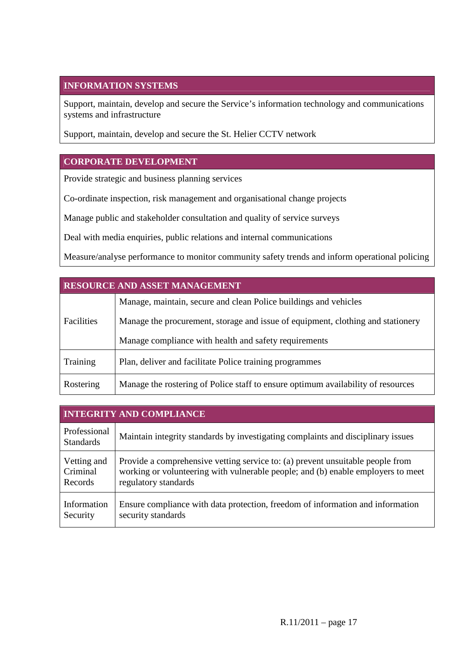#### **INFORMATION SYSTEMS**

Support, maintain, develop and secure the Service's information technology and communications systems and infrastructure

Support, maintain, develop and secure the St. Helier CCTV network

#### **CORPORATE DEVELOPMENT**

Provide strategic and business planning services

Co-ordinate inspection, risk management and organisational change projects

Manage public and stakeholder consultation and quality of service surveys

Deal with media enquiries, public relations and internal communications

Measure/analyse performance to monitor community safety trends and inform operational policing

| <b>RESOURCE AND ASSET MANAGEMENT</b> |                                                                                  |  |  |  |  |
|--------------------------------------|----------------------------------------------------------------------------------|--|--|--|--|
|                                      | Manage, maintain, secure and clean Police buildings and vehicles                 |  |  |  |  |
| <b>Facilities</b>                    | Manage the procurement, storage and issue of equipment, clothing and stationery  |  |  |  |  |
|                                      | Manage compliance with health and safety requirements                            |  |  |  |  |
| Training                             | Plan, deliver and facilitate Police training programmes                          |  |  |  |  |
| Rostering                            | Manage the rostering of Police staff to ensure optimum availability of resources |  |  |  |  |

| <b>INTEGRITY AND COMPLIANCE</b>  |                                                                                  |  |  |  |  |
|----------------------------------|----------------------------------------------------------------------------------|--|--|--|--|
| Professional<br><b>Standards</b> | Maintain integrity standards by investigating complaints and disciplinary issues |  |  |  |  |
| Vetting and                      | Provide a comprehensive vetting service to: (a) prevent unsuitable people from   |  |  |  |  |
| Criminal                         | working or volunteering with vulnerable people; and (b) enable employers to meet |  |  |  |  |
| Records                          | regulatory standards                                                             |  |  |  |  |
| Information                      | Ensure compliance with data protection, freedom of information and information   |  |  |  |  |
| Security                         | security standards                                                               |  |  |  |  |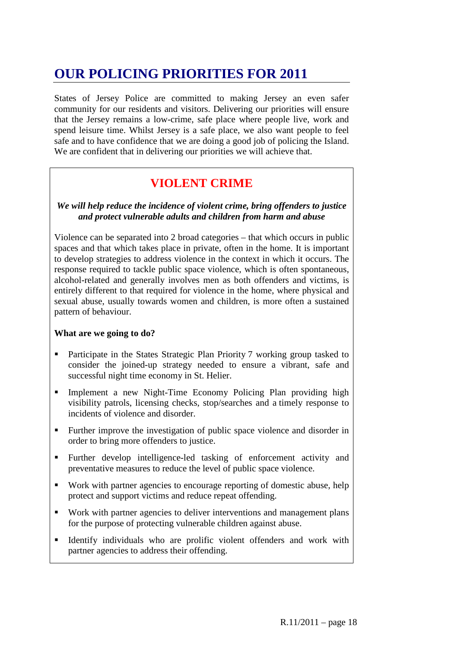# **OUR POLICING PRIORITIES FOR 2011**

States of Jersey Police are committed to making Jersey an even safer community for our residents and visitors. Delivering our priorities will ensure that the Jersey remains a low-crime, safe place where people live, work and spend leisure time. Whilst Jersey is a safe place, we also want people to feel safe and to have confidence that we are doing a good job of policing the Island. We are confident that in delivering our priorities we will achieve that.

# **VIOLENT CRIME**

#### *We will help reduce the incidence of violent crime, bring offenders to justice and protect vulnerable adults and children from harm and abuse*

Violence can be separated into 2 broad categories – that which occurs in public spaces and that which takes place in private, often in the home. It is important to develop strategies to address violence in the context in which it occurs. The response required to tackle public space violence, which is often spontaneous, alcohol-related and generally involves men as both offenders and victims, is entirely different to that required for violence in the home, where physical and sexual abuse, usually towards women and children, is more often a sustained pattern of behaviour.

#### **What are we going to do?**

- Participate in the States Strategic Plan Priority 7 working group tasked to consider the joined-up strategy needed to ensure a vibrant, safe and successful night time economy in St. Helier.
- Implement a new Night-Time Economy Policing Plan providing high visibility patrols, licensing checks, stop/searches and a timely response to incidents of violence and disorder.
- Further improve the investigation of public space violence and disorder in order to bring more offenders to justice.
- Further develop intelligence-led tasking of enforcement activity and preventative measures to reduce the level of public space violence.
- Work with partner agencies to encourage reporting of domestic abuse, help protect and support victims and reduce repeat offending.
- Work with partner agencies to deliver interventions and management plans for the purpose of protecting vulnerable children against abuse.
- Identify individuals who are prolific violent offenders and work with partner agencies to address their offending.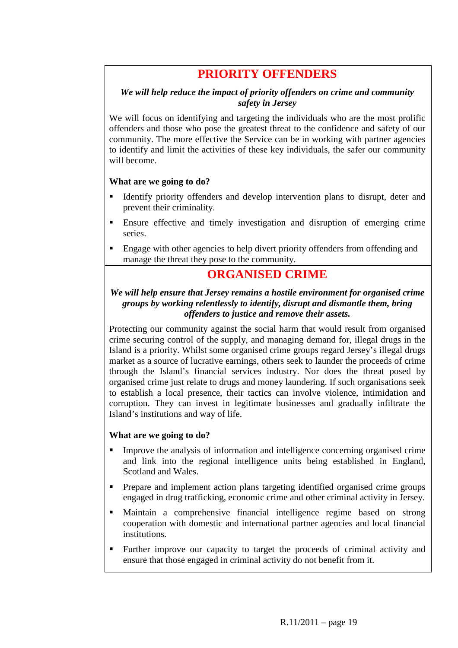### **PRIORITY OFFENDERS**

#### *We will help reduce the impact of priority offenders on crime and community safety in Jersey*

We will focus on identifying and targeting the individuals who are the most prolific offenders and those who pose the greatest threat to the confidence and safety of our community. The more effective the Service can be in working with partner agencies to identify and limit the activities of these key individuals, the safer our community will become.

#### **What are we going to do?**

- Identify priority offenders and develop intervention plans to disrupt, deter and prevent their criminality.
- Ensure effective and timely investigation and disruption of emerging crime series.
- Engage with other agencies to help divert priority offenders from offending and manage the threat they pose to the community.

### **ORGANISED CRIME**

#### *We will help ensure that Jersey remains a hostile environment for organised crime groups by working relentlessly to identify, disrupt and dismantle them, bring offenders to justice and remove their assets.*

Protecting our community against the social harm that would result from organised crime securing control of the supply, and managing demand for, illegal drugs in the Island is a priority. Whilst some organised crime groups regard Jersey's illegal drugs market as a source of lucrative earnings, others seek to launder the proceeds of crime through the Island's financial services industry. Nor does the threat posed by organised crime just relate to drugs and money laundering. If such organisations seek to establish a local presence, their tactics can involve violence, intimidation and corruption. They can invest in legitimate businesses and gradually infiltrate the Island's institutions and way of life.

#### **What are we going to do?**

- Improve the analysis of information and intelligence concerning organised crime and link into the regional intelligence units being established in England, Scotland and Wales.
- **Prepare and implement action plans targeting identified organised crime groups** engaged in drug trafficking, economic crime and other criminal activity in Jersey.
- Maintain a comprehensive financial intelligence regime based on strong cooperation with domestic and international partner agencies and local financial institutions.
- Further improve our capacity to target the proceeds of criminal activity and ensure that those engaged in criminal activity do not benefit from it.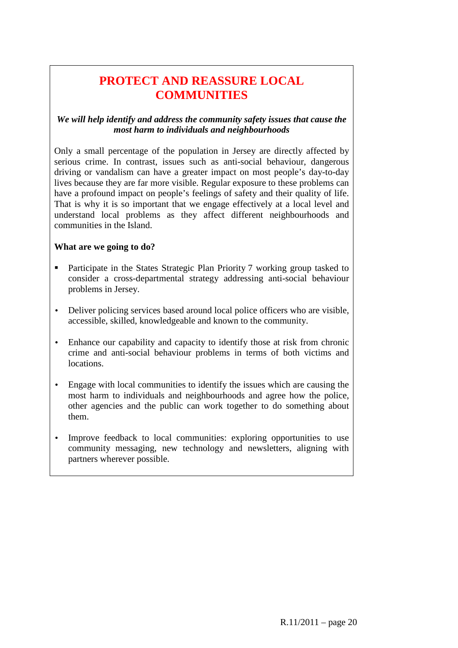# **PROTECT AND REASSURE LOCAL COMMUNITIES**

#### *We will help identify and address the community safety issues that cause the most harm to individuals and neighbourhoods*

Only a small percentage of the population in Jersey are directly affected by serious crime. In contrast, issues such as anti-social behaviour, dangerous driving or vandalism can have a greater impact on most people's day-to-day lives because they are far more visible. Regular exposure to these problems can have a profound impact on people's feelings of safety and their quality of life. That is why it is so important that we engage effectively at a local level and understand local problems as they affect different neighbourhoods and communities in the Island.

#### **What are we going to do?**

- Participate in the States Strategic Plan Priority 7 working group tasked to consider a cross-departmental strategy addressing anti-social behaviour problems in Jersey.
- Deliver policing services based around local police officers who are visible, accessible, skilled, knowledgeable and known to the community.
- Enhance our capability and capacity to identify those at risk from chronic crime and anti-social behaviour problems in terms of both victims and locations.
- Engage with local communities to identify the issues which are causing the most harm to individuals and neighbourhoods and agree how the police, other agencies and the public can work together to do something about them.
- Improve feedback to local communities: exploring opportunities to use community messaging, new technology and newsletters, aligning with partners wherever possible.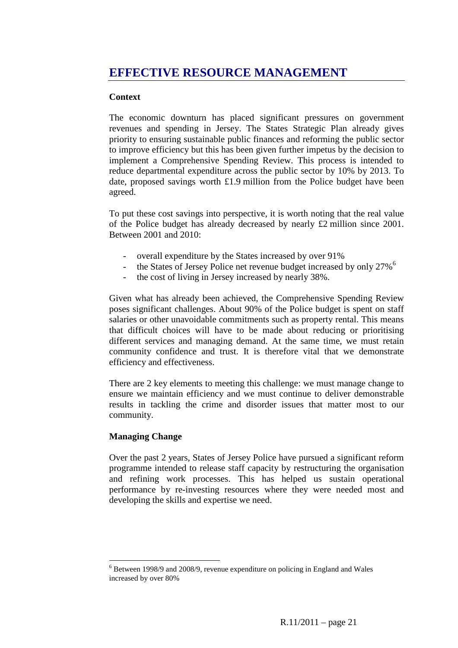# **EFFECTIVE RESOURCE MANAGEMENT**

#### **Context**

The economic downturn has placed significant pressures on government revenues and spending in Jersey. The States Strategic Plan already gives priority to ensuring sustainable public finances and reforming the public sector to improve efficiency but this has been given further impetus by the decision to implement a Comprehensive Spending Review. This process is intended to reduce departmental expenditure across the public sector by 10% by 2013. To date, proposed savings worth £1.9 million from the Police budget have been agreed.

To put these cost savings into perspective, it is worth noting that the real value of the Police budget has already decreased by nearly £2 million since 2001. Between 2001 and 2010:

- overall expenditure by the States increased by over 91%
- the States of Jersey Police net revenue budget increased by only 27%<sup>6</sup>
- the cost of living in Jersey increased by nearly 38%.

Given what has already been achieved, the Comprehensive Spending Review poses significant challenges. About 90% of the Police budget is spent on staff salaries or other unavoidable commitments such as property rental. This means that difficult choices will have to be made about reducing or prioritising different services and managing demand. At the same time, we must retain community confidence and trust. It is therefore vital that we demonstrate efficiency and effectiveness.

There are 2 key elements to meeting this challenge: we must manage change to ensure we maintain efficiency and we must continue to deliver demonstrable results in tackling the crime and disorder issues that matter most to our community.

#### **Managing Change**

 $\overline{a}$ 

Over the past 2 years, States of Jersey Police have pursued a significant reform programme intended to release staff capacity by restructuring the organisation and refining work processes. This has helped us sustain operational performance by re-investing resources where they were needed most and developing the skills and expertise we need.

 $6$  Between 1998/9 and 2008/9, revenue expenditure on policing in England and Wales increased by over 80%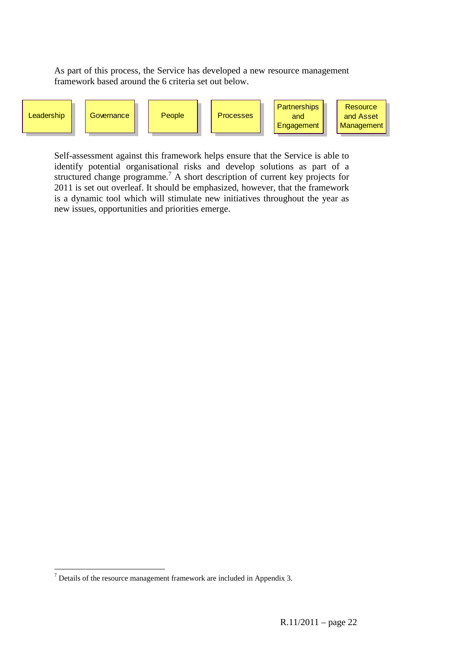As part of this process, the Service has developed a new resource management framework based around the 6 criteria set out below.



Self-assessment against this framework helps ensure that the Service is able to identify potential organisational risks and develop solutions as part of a structured change programme.<sup>7</sup> A short description of current key projects for 2011 is set out overleaf. It should be emphasized, however, that the framework is a dynamic tool which will stimulate new initiatives throughout the year as new issues, opportunities and priorities emerge.

 $\overline{a}$ 

 $7$  Details of the resource management framework are included in Appendix 3.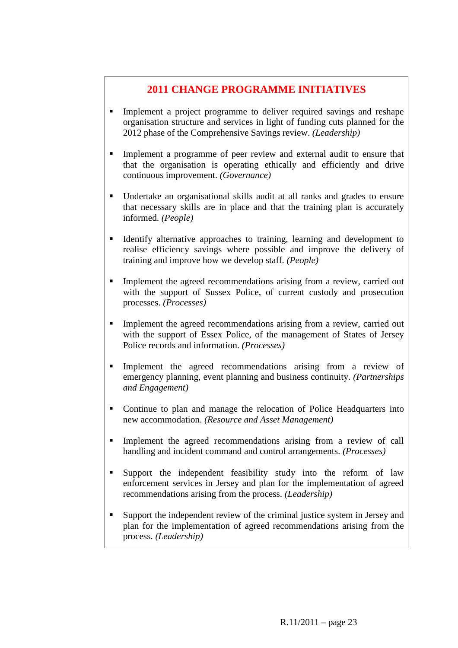#### **2011 CHANGE PROGRAMME INITIATIVES**

- Implement a project programme to deliver required savings and reshape organisation structure and services in light of funding cuts planned for the 2012 phase of the Comprehensive Savings review. *(Leadership)*
- Implement a programme of peer review and external audit to ensure that that the organisation is operating ethically and efficiently and drive continuous improvement. *(Governance)*
- Undertake an organisational skills audit at all ranks and grades to ensure that necessary skills are in place and that the training plan is accurately informed. *(People)*
- Identify alternative approaches to training, learning and development to realise efficiency savings where possible and improve the delivery of training and improve how we develop staff. *(People)*
- Implement the agreed recommendations arising from a review, carried out with the support of Sussex Police, of current custody and prosecution processes. *(Processes)*
- Implement the agreed recommendations arising from a review, carried out with the support of Essex Police, of the management of States of Jersey Police records and information. *(Processes)*
- Implement the agreed recommendations arising from a review of emergency planning, event planning and business continuity. *(Partnerships and Engagement)*
- Continue to plan and manage the relocation of Police Headquarters into new accommodation. *(Resource and Asset Management)*
- Implement the agreed recommendations arising from a review of call handling and incident command and control arrangements. *(Processes)*
- Support the independent feasibility study into the reform of law enforcement services in Jersey and plan for the implementation of agreed recommendations arising from the process. *(Leadership)*
- Support the independent review of the criminal justice system in Jersey and plan for the implementation of agreed recommendations arising from the process. *(Leadership)*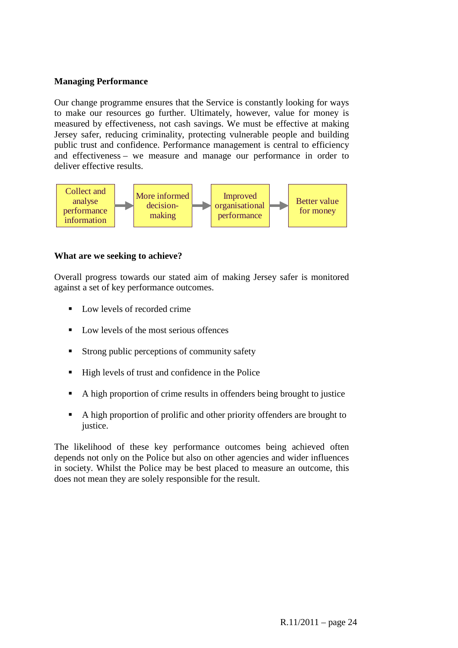#### **Managing Performance**

Our change programme ensures that the Service is constantly looking for ways to make our resources go further. Ultimately, however, value for money is measured by effectiveness, not cash savings. We must be effective at making Jersey safer, reducing criminality, protecting vulnerable people and building public trust and confidence. Performance management is central to efficiency and effectiveness – we measure and manage our performance in order to deliver effective results.



#### **What are we seeking to achieve?**

Overall progress towards our stated aim of making Jersey safer is monitored against a set of key performance outcomes.

- $\blacksquare$  Low levels of recorded crime
- Low levels of the most serious offences
- Strong public perceptions of community safety
- High levels of trust and confidence in the Police
- A high proportion of crime results in offenders being brought to justice
- A high proportion of prolific and other priority offenders are brought to justice.

The likelihood of these key performance outcomes being achieved often depends not only on the Police but also on other agencies and wider influences in society. Whilst the Police may be best placed to measure an outcome, this does not mean they are solely responsible for the result.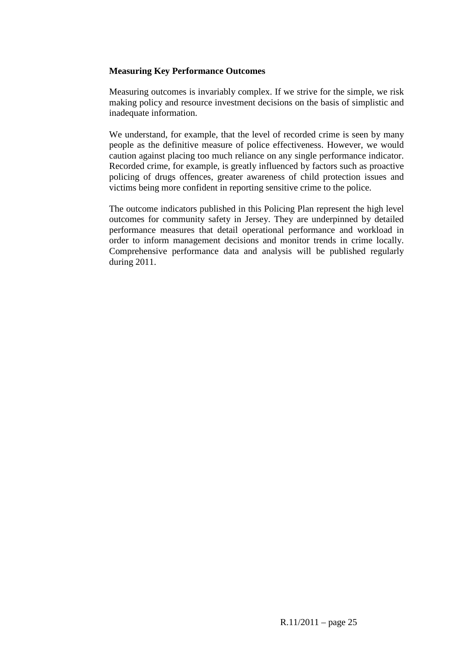#### **Measuring Key Performance Outcomes**

Measuring outcomes is invariably complex. If we strive for the simple, we risk making policy and resource investment decisions on the basis of simplistic and inadequate information.

We understand, for example, that the level of recorded crime is seen by many people as the definitive measure of police effectiveness. However, we would caution against placing too much reliance on any single performance indicator. Recorded crime, for example, is greatly influenced by factors such as proactive policing of drugs offences, greater awareness of child protection issues and victims being more confident in reporting sensitive crime to the police.

The outcome indicators published in this Policing Plan represent the high level outcomes for community safety in Jersey. They are underpinned by detailed performance measures that detail operational performance and workload in order to inform management decisions and monitor trends in crime locally. Comprehensive performance data and analysis will be published regularly during 2011.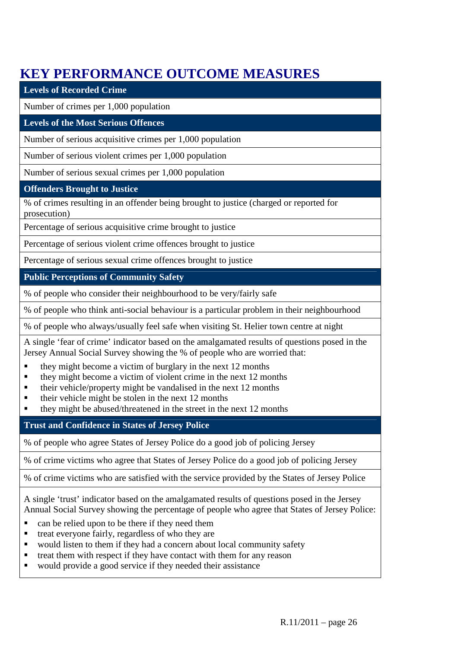# **KEY PERFORMANCE OUTCOME MEASURES**

| <b>Levels of Recorded Crime</b>                                                                                                                                                                                                                                                                                                          |
|------------------------------------------------------------------------------------------------------------------------------------------------------------------------------------------------------------------------------------------------------------------------------------------------------------------------------------------|
| Number of crimes per 1,000 population                                                                                                                                                                                                                                                                                                    |
| <b>Levels of the Most Serious Offences</b>                                                                                                                                                                                                                                                                                               |
| Number of serious acquisitive crimes per 1,000 population                                                                                                                                                                                                                                                                                |
| Number of serious violent crimes per 1,000 population                                                                                                                                                                                                                                                                                    |
| Number of serious sexual crimes per 1,000 population                                                                                                                                                                                                                                                                                     |
| <b>Offenders Brought to Justice</b>                                                                                                                                                                                                                                                                                                      |
| % of crimes resulting in an offender being brought to justice (charged or reported for<br>prosecution)                                                                                                                                                                                                                                   |
| Percentage of serious acquisitive crime brought to justice                                                                                                                                                                                                                                                                               |
| Percentage of serious violent crime offences brought to justice                                                                                                                                                                                                                                                                          |
| Percentage of serious sexual crime offences brought to justice                                                                                                                                                                                                                                                                           |
| <b>Public Perceptions of Community Safety</b>                                                                                                                                                                                                                                                                                            |
| % of people who consider their neighbourhood to be very/fairly safe                                                                                                                                                                                                                                                                      |
| % of people who think anti-social behaviour is a particular problem in their neighbourhood                                                                                                                                                                                                                                               |
| % of people who always/usually feel safe when visiting St. Helier town centre at night                                                                                                                                                                                                                                                   |
| A single 'fear of crime' indicator based on the amalgamated results of questions posed in the<br>Jersey Annual Social Survey showing the % of people who are worried that:                                                                                                                                                               |
| they might become a victim of burglary in the next 12 months<br>they might become a victim of violent crime in the next 12 months<br>their vehicle/property might be vandalised in the next 12 months<br>their vehicle might be stolen in the next 12 months<br>п<br>they might be abused/threatened in the street in the next 12 months |
| <b>Trust and Confidence in States of Jersey Police</b>                                                                                                                                                                                                                                                                                   |
| % of people who agree States of Jersey Police do a good job of policing Jersey                                                                                                                                                                                                                                                           |
| % of crime victims who agree that States of Jersey Police do a good job of policing Jersey                                                                                                                                                                                                                                               |
| % of crime victims who are satisfied with the service provided by the States of Jersey Police                                                                                                                                                                                                                                            |
| A single 'trust' indicator based on the amalgamated results of questions posed in the Jersey<br>Annual Social Survey showing the percentage of people who agree that States of Jersey Police:<br>can be relied upon to be there if they need them                                                                                        |

- treat everyone fairly, regardless of who they are<br>■ would listen to them if they had a concern about ■ would listen to them if they had a concern about local community safety<br>■ treat them with respect if they have contact with them for any reason
- treat them with respect if they have contact with them for any reason
- would provide a good service if they needed their assistance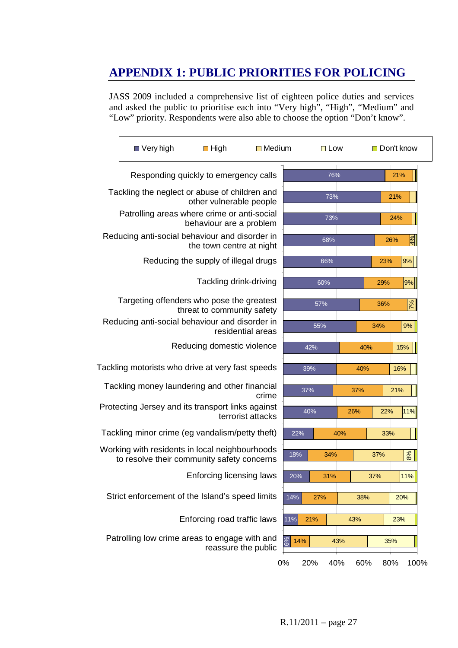# **APPENDIX 1: PUBLIC PRIORITIES FOR POLICING**

JASS 2009 included a comprehensive list of eighteen police duties and services and asked the public to prioritise each into "Very high", "High", "Medium" and "Low" priority. Respondents were also able to choose the option "Don't know".

|                                       | ■ Very high                                                                                  | $\blacksquare$ High                  | $\Box$ Medium     |           | $\Box$ Low |     | □ Don't know |     |               |
|---------------------------------------|----------------------------------------------------------------------------------------------|--------------------------------------|-------------------|-----------|------------|-----|--------------|-----|---------------|
| Responding quickly to emergency calls |                                                                                              |                                      |                   | 76%       |            |     | 21%          |     |               |
|                                       | Tackling the neglect or abuse of children and                                                | other vulnerable people              |                   |           | 73%        |     |              | 21% |               |
|                                       | Patrolling areas where crime or anti-social                                                  | behaviour are a problem              |                   |           | 73%        |     |              | 24% |               |
|                                       | Reducing anti-social behaviour and disorder in                                               | the town centre at night             |                   |           | 68%        |     |              | 26% | $\frac{1}{2}$ |
|                                       |                                                                                              | Reducing the supply of illegal drugs |                   |           | 66%        |     | 23%          |     | 9%            |
|                                       |                                                                                              | Tackling drink-driving               |                   |           | 60%        |     | 29%          |     | $ 9\% $       |
|                                       | Targeting offenders who pose the greatest<br>Reducing anti-social behaviour and disorder in  | threat to community safety           |                   |           | 57%        |     | 36%          |     | $\sqrt{6}$    |
|                                       |                                                                                              |                                      | residential areas |           | 55%        |     | 34%          |     | 9%            |
|                                       |                                                                                              | Reducing domestic violence           |                   |           | 42%        |     | 40%          | 15% |               |
|                                       | Tackling motorists who drive at very fast speeds                                             |                                      |                   | 39%       |            | 40% |              | 16% |               |
|                                       | Tackling money laundering and other financial                                                |                                      | crime             | 37%       |            | 37% |              | 21% |               |
|                                       | Protecting Jersey and its transport links against                                            |                                      | terrorist attacks | 40%       |            | 26% | 22%          |     | 11%           |
|                                       | Tackling minor crime (eg vandalism/petty theft)                                              |                                      |                   | 22%       |            | 40% | 33%          |     |               |
|                                       | Working with residents in local neighbourhoods<br>to resolve their community safety concerns |                                      |                   | 18%       | 34%        |     | 37%          |     | 8%            |
|                                       |                                                                                              | Enforcing licensing laws             |                   | 20%       | 31%        |     | 37%          |     | 11%           |
|                                       | Strict enforcement of the Island's speed limits                                              |                                      |                   | 14%       | 27%        |     | 38%          | 20% |               |
|                                       |                                                                                              | Enforcing road traffic laws          |                   | 11%       | 21%        | 43% |              | 23% |               |
|                                       | Patrolling low crime areas to engage with and                                                | reassure the public                  |                   | 14%       |            | 43% |              | 35% |               |
|                                       |                                                                                              |                                      |                   | 0%<br>20% | 40%        |     | 60%          | 80% | 100%          |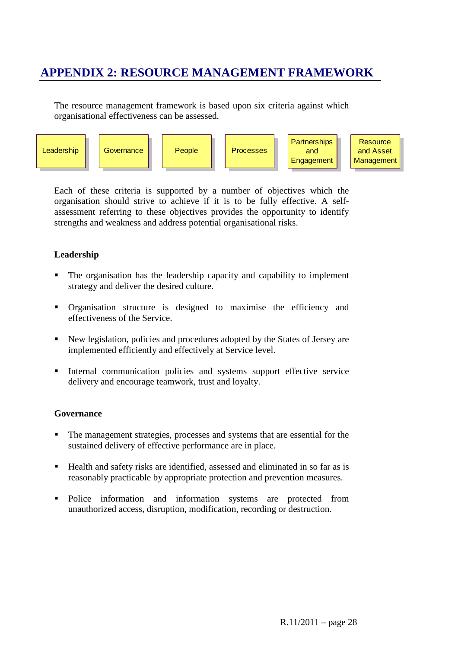### **APPENDIX 2: RESOURCE MANAGEMENT FRAMEWORK**

The resource management framework is based upon six criteria against which organisational effectiveness can be assessed.



Each of these criteria is supported by a number of objectives which the organisation should strive to achieve if it is to be fully effective. A selfassessment referring to these objectives provides the opportunity to identify strengths and weakness and address potential organisational risks.

#### **Leadership**

- The organisation has the leadership capacity and capability to implement strategy and deliver the desired culture.
- Organisation structure is designed to maximise the efficiency and effectiveness of the Service.
- New legislation, policies and procedures adopted by the States of Jersey are implemented efficiently and effectively at Service level.
- Internal communication policies and systems support effective service delivery and encourage teamwork, trust and loyalty.

#### **Governance**

- The management strategies, processes and systems that are essential for the sustained delivery of effective performance are in place.
- Health and safety risks are identified, assessed and eliminated in so far as is reasonably practicable by appropriate protection and prevention measures.
- Police information and information systems are protected from unauthorized access, disruption, modification, recording or destruction.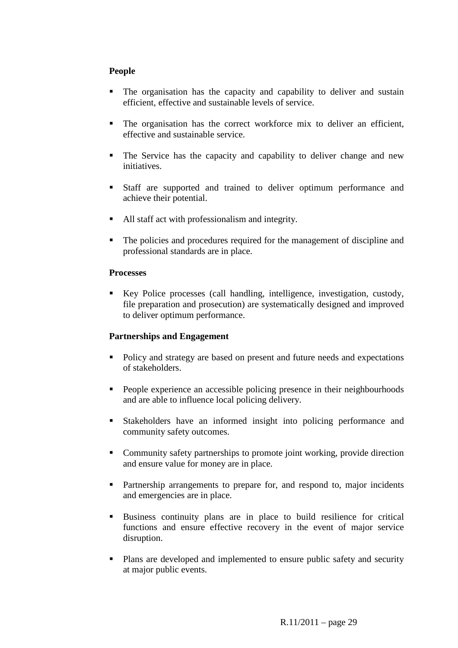#### **People**

- The organisation has the capacity and capability to deliver and sustain efficient, effective and sustainable levels of service.
- The organisation has the correct workforce mix to deliver an efficient, effective and sustainable service.
- The Service has the capacity and capability to deliver change and new initiatives.
- Staff are supported and trained to deliver optimum performance and achieve their potential.
- All staff act with professionalism and integrity.
- The policies and procedures required for the management of discipline and professional standards are in place.

#### **Processes**

Key Police processes (call handling, intelligence, investigation, custody, file preparation and prosecution) are systematically designed and improved to deliver optimum performance.

#### **Partnerships and Engagement**

- Policy and strategy are based on present and future needs and expectations of stakeholders.
- **People experience an accessible policing presence in their neighbourhoods** and are able to influence local policing delivery.
- Stakeholders have an informed insight into policing performance and community safety outcomes.
- Community safety partnerships to promote joint working, provide direction and ensure value for money are in place.
- **Partnership arrangements to prepare for, and respond to, major incidents** and emergencies are in place.
- Business continuity plans are in place to build resilience for critical functions and ensure effective recovery in the event of major service disruption.
- **Plans are developed and implemented to ensure public safety and security** at major public events.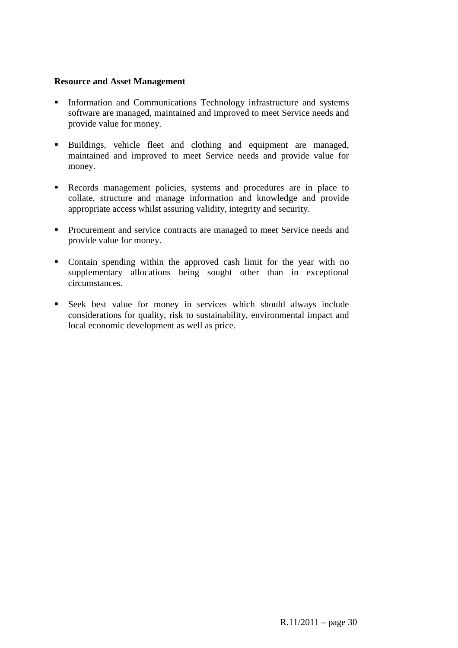#### **Resource and Asset Management**

- Information and Communications Technology infrastructure and systems software are managed, maintained and improved to meet Service needs and provide value for money.
- Buildings, vehicle fleet and clothing and equipment are managed, maintained and improved to meet Service needs and provide value for money.
- Records management policies, systems and procedures are in place to collate, structure and manage information and knowledge and provide appropriate access whilst assuring validity, integrity and security.
- **Procurement and service contracts are managed to meet Service needs and** provide value for money.
- Contain spending within the approved cash limit for the year with no supplementary allocations being sought other than in exceptional circumstances.
- Seek best value for money in services which should always include considerations for quality, risk to sustainability, environmental impact and local economic development as well as price.